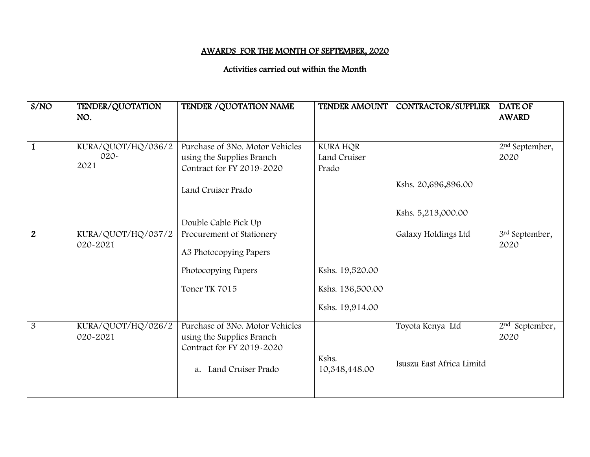## AWARDS FOR THE MONTH OF SEPTEMBER, 2020

## Activities carried out within the Month

| S/NO           | TENDER/QUOTATION<br>NO.              | TENDER / QUOTATION NAME                                                                                            | <b>TENDER AMOUNT</b>                                   | CONTRACTOR/SUPPLIER                           | <b>DATE OF</b><br><b>AWARD</b>     |
|----------------|--------------------------------------|--------------------------------------------------------------------------------------------------------------------|--------------------------------------------------------|-----------------------------------------------|------------------------------------|
| $\mathbf{1}$   | KURA/QUOT/HQ/036/2<br>$020-$<br>2021 | Purchase of 3No. Motor Vehicles<br>using the Supplies Branch<br>Contract for FY 2019-2020<br>Land Cruiser Prado    | <b>KURA HQR</b><br>Land Cruiser<br>Prado               | Kshs. 20,696,896.00                           | 2 <sup>nd</sup> September,<br>2020 |
|                |                                      | Double Cable Pick Up                                                                                               |                                                        | Kshs. 5,213,000.00                            |                                    |
| $\overline{2}$ | KURA/QUOT/HQ/037/2<br>020~2021       | Procurement of Stationery<br>A3 Photocopying Papers<br>Photocopying Papers<br>Toner TK 7015                        | Kshs. 19,520.00<br>Kshs. 136,500.00<br>Kshs. 19,914.00 | Galaxy Holdings Ltd                           | 3rd September,<br>2020             |
| 3              | KURA/QUOT/HQ/026/2<br>020-2021       | Purchase of 3No. Motor Vehicles<br>using the Supplies Branch<br>Contract for FY 2019-2020<br>a. Land Cruiser Prado | Kshs.<br>10,348,448.00                                 | Toyota Kenya Ltd<br>Isuszu East Africa Limitd | 2 <sup>nd</sup> September,<br>2020 |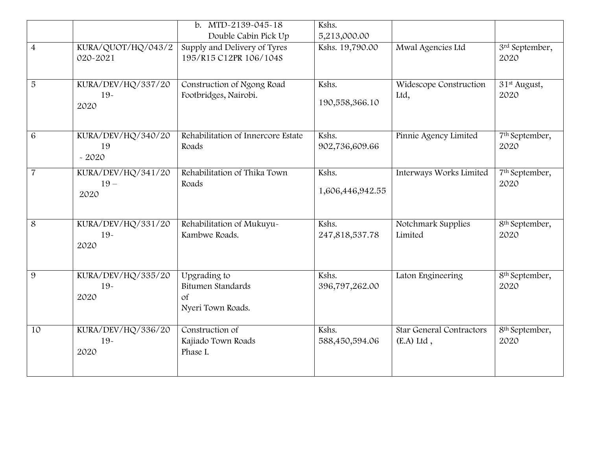|                |                                     | b. MTD-2139-045-18                                                      | Kshs.                     |                                          |                                    |
|----------------|-------------------------------------|-------------------------------------------------------------------------|---------------------------|------------------------------------------|------------------------------------|
|                |                                     | Double Cabin Pick Up                                                    | 5,213,000.00              |                                          |                                    |
| $\overline{4}$ | KURA/QUOT/HQ/043/2<br>020-2021      | Supply and Delivery of Tyres<br>195/R15 C12PR 106/104S                  | Kshs. 19,790.00           | Mwal Agencies Ltd                        | 3rd September,<br>2020             |
| 5              | KURA/DEV/HQ/337/20<br>$19-$<br>2020 | Construction of Ngong Road<br>Footbridges, Nairobi.                     | Kshs.<br>190,558,366.10   | Widescope Construction<br>Ltd,           | 31 <sup>st</sup> August,<br>2020   |
| 6              | KURA/DEV/HQ/340/20<br>19<br>$-2020$ | Rehabilitation of Innercore Estate<br>Roads                             | Kshs.<br>902,736,609.66   | Pinnie Agency Limited                    | 7 <sup>th</sup> September,<br>2020 |
| $\overline{7}$ | KURA/DEV/HQ/341/20<br>$19-$<br>2020 | Rehabilitation of Thika Town<br>Roads                                   | Kshs.<br>1,606,446,942.55 | Interways Works Limited                  | 7 <sup>th</sup> September,<br>2020 |
| 8              | KURA/DEV/HQ/331/20<br>$19-$<br>2020 | Rehabilitation of Mukuyu~<br>Kambwe Roads.                              | Kshs.<br>247,818,537.78   | Notchmark Supplies<br>Limited            | 8 <sup>th</sup> September,<br>2020 |
| 9              | KURA/DEV/HQ/335/20<br>$19-$<br>2020 | Upgrading to<br>Bitumen Standards<br><sub>of</sub><br>Nyeri Town Roads. | Kshs.<br>396,797,262.00   | Laton Engineering                        | 8 <sup>th</sup> September,<br>2020 |
| 10             | KURA/DEV/HQ/336/20<br>$19-$<br>2020 | Construction of<br>Kajiado Town Roads<br>Phase I.                       | Kshs.<br>588,450,594.06   | Star General Contractors<br>$(E.A)$ Ltd, | 8 <sup>th</sup> September,<br>2020 |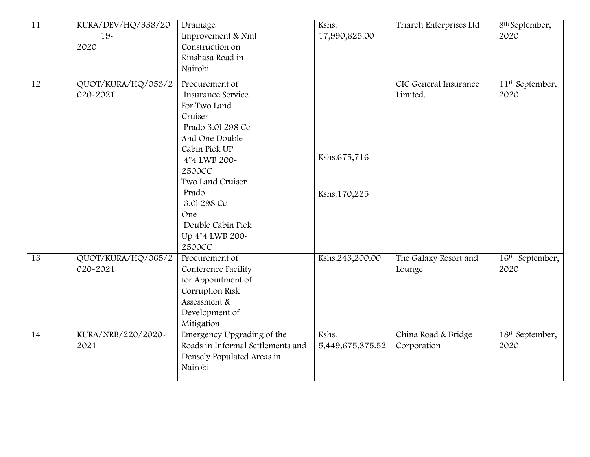| $\overline{11}$ | KURA/DEV/HQ/338/20 | Drainage                          | Kshs.            | Triarch Enterprises Ltd | 8 <sup>th</sup> September,  |
|-----------------|--------------------|-----------------------------------|------------------|-------------------------|-----------------------------|
|                 | $19-$              | Improvement & Nmt                 | 17,990,625.00    |                         | 2020                        |
|                 | 2020               | Construction on                   |                  |                         |                             |
|                 |                    | Kinshasa Road in                  |                  |                         |                             |
|                 |                    | Nairobi                           |                  |                         |                             |
|                 |                    |                                   |                  |                         |                             |
| 12              | QUOT/KURA/HQ/053/2 | Procurement of                    |                  | CIC General Insurance   | 11 <sup>th</sup> September, |
|                 | 020-2021           | Insurance Service                 |                  | Limited.                | 2020                        |
|                 |                    | For Two Land                      |                  |                         |                             |
|                 |                    | Cruiser                           |                  |                         |                             |
|                 |                    | Prado 3.01 298 Cc                 |                  |                         |                             |
|                 |                    | And One Double                    |                  |                         |                             |
|                 |                    | Cabin Pick UP                     | Kshs.675,716     |                         |                             |
|                 |                    | 4*4 LWB 200~                      |                  |                         |                             |
|                 |                    | <b>2500CC</b>                     |                  |                         |                             |
|                 |                    | Two Land Cruiser                  |                  |                         |                             |
|                 |                    | Prado                             | Kshs.170,225     |                         |                             |
|                 |                    | 3.01 298 Cc                       |                  |                         |                             |
|                 |                    | One                               |                  |                         |                             |
|                 |                    | Double Cabin Pick                 |                  |                         |                             |
|                 |                    | Up 4*4 LWB 200~                   |                  |                         |                             |
|                 |                    | <b>2500CC</b>                     |                  |                         |                             |
| 13              | QUOT/KURA/HQ/065/2 | Procurement of                    | Kshs.243,200.00  | The Galaxy Resort and   | 16 <sup>th</sup> September, |
|                 | 020~2021           | Conference Facility               |                  | Lounge                  | 2020                        |
|                 |                    | for Appointment of                |                  |                         |                             |
|                 |                    | Corruption Risk                   |                  |                         |                             |
|                 |                    | Assessment &                      |                  |                         |                             |
|                 |                    | Development of                    |                  |                         |                             |
|                 |                    | Mitigation                        |                  |                         |                             |
| 14              | KURA/NRB/220/2020~ | Emergency Upgrading of the        | Kshs.            | China Road & Bridge     | 18th September,             |
|                 | 2021               | Roads in Informal Settlements and | 5,449,675,375.52 | Corporation             | 2020                        |
|                 |                    | Densely Populated Areas in        |                  |                         |                             |
|                 |                    | Nairobi                           |                  |                         |                             |
|                 |                    |                                   |                  |                         |                             |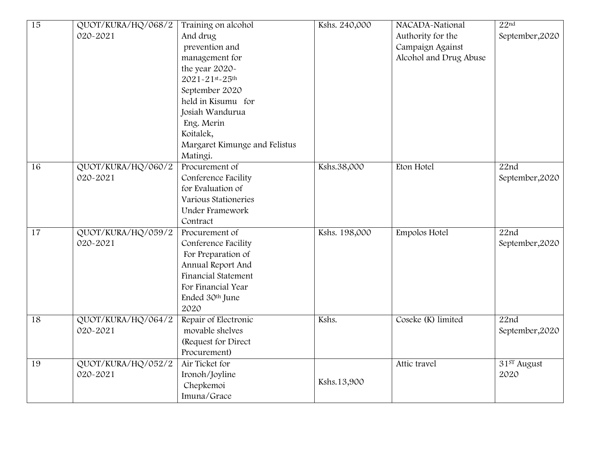| 15              | QUOT/KURA/HQ/068/2 | Training on alcohol           | Kshs. 240,000 | NACADA-National        | 22 <sup>nd</sup>  |
|-----------------|--------------------|-------------------------------|---------------|------------------------|-------------------|
|                 | 020-2021           | And drug                      |               | Authority for the      | September, 2020   |
|                 |                    | prevention and                |               | Campaign Against       |                   |
|                 |                    | management for                |               | Alcohol and Drug Abuse |                   |
|                 |                    | the year 2020-                |               |                        |                   |
|                 |                    | 2021-21st-25th                |               |                        |                   |
|                 |                    | September 2020                |               |                        |                   |
|                 |                    | held in Kisumu for            |               |                        |                   |
|                 |                    | Josiah Wandurua               |               |                        |                   |
|                 |                    | Eng. Merin                    |               |                        |                   |
|                 |                    | Koitalek,                     |               |                        |                   |
|                 |                    | Margaret Kimunge and Felistus |               |                        |                   |
|                 |                    | Matingi.                      |               |                        |                   |
| 16              | QUOT/KURA/HQ/060/2 | Procurement of                | Kshs.38,000   | Eton Hotel             | 22nd              |
|                 | 020-2021           | Conference Facility           |               |                        | September, 2020   |
|                 |                    | for Evaluation of             |               |                        |                   |
|                 |                    | Various Stationeries          |               |                        |                   |
|                 |                    | Under Framework               |               |                        |                   |
|                 |                    | Contract                      |               |                        |                   |
| $\overline{17}$ | QUOT/KURA/HQ/059/2 | Procurement of                | Kshs. 198,000 | Empolos Hotel          | $\overline{22nd}$ |
|                 | 020-2021           | Conference Facility           |               |                        | September, 2020   |
|                 |                    | For Preparation of            |               |                        |                   |
|                 |                    | Annual Report And             |               |                        |                   |
|                 |                    | Financial Statement           |               |                        |                   |
|                 |                    | For Financial Year            |               |                        |                   |
|                 |                    | Ended 30th June               |               |                        |                   |
|                 |                    | 2020                          |               |                        |                   |
| 18              | QUOT/KURA/HQ/064/2 | Repair of Electronic          | Kshs.         | Coseke (K) limited     | $\overline{22nd}$ |
|                 | 020-2021           | movable shelves               |               |                        | September, 2020   |
|                 |                    | (Request for Direct           |               |                        |                   |
|                 |                    | Procurement)                  |               |                        |                   |
| 19              | QUOT/KURA/HQ/052/2 | Air Ticket for                |               | Attic travel           | 31ST August       |
|                 | 020-2021           | Ironoh/Joyline                |               |                        | 2020              |
|                 |                    | Chepkemoi                     | Kshs.13,900   |                        |                   |
|                 |                    | Imuna/Grace                   |               |                        |                   |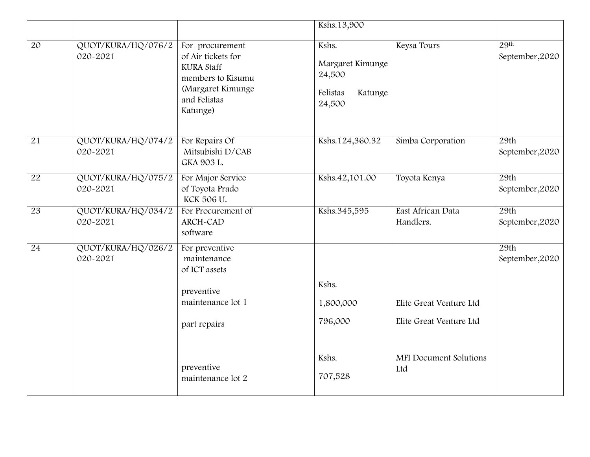|                 |                                |                                                                                                                                  | Kshs.13,900                                                          |                                                    |                                     |
|-----------------|--------------------------------|----------------------------------------------------------------------------------------------------------------------------------|----------------------------------------------------------------------|----------------------------------------------------|-------------------------------------|
| $\overline{20}$ | QUOT/KURA/HQ/076/2<br>020-2021 | For procurement<br>of Air tickets for<br><b>KURA Staff</b><br>members to Kisumu<br>(Margaret Kimunge<br>and Felistas<br>Katunge) | Kshs.<br>Margaret Kimunge<br>24,500<br>Felistas<br>Katunge<br>24,500 | Keysa Tours                                        | 29 <sup>th</sup><br>September, 2020 |
| 21              | QUOT/KURA/HQ/074/2<br>020-2021 | For Repairs Of<br>Mitsubishi D/CAB<br>GKA 903 L.                                                                                 | Kshs.124,360.32                                                      | Simba Corporation                                  | 29th<br>September, 2020             |
| 22              | QUOT/KURA/HQ/075/2<br>020-2021 | For Major Service<br>of Toyota Prado<br>KCK 506 U.                                                                               | Kshs.42,101.00                                                       | Toyota Kenya                                       | 29th<br>September, 2020             |
| 23              | QUOT/KURA/HQ/034/2<br>020-2021 | For Procurement of<br>ARCH-CAD<br>software                                                                                       | Kshs.345,595                                                         | East African Data<br>Handlers.                     | 29th<br>September, 2020             |
| $\overline{24}$ | QUOT/KURA/HQ/026/2<br>020-2021 | For preventive<br>maintenance<br>of ICT assets                                                                                   |                                                                      |                                                    | 29th<br>September, 2020             |
|                 |                                | preventive                                                                                                                       | Kshs.                                                                |                                                    |                                     |
|                 |                                | maintenance lot 1<br>part repairs                                                                                                | 1,800,000<br>796,000                                                 | Elite Great Venture Ltd<br>Elite Great Venture Ltd |                                     |
|                 |                                | preventive<br>maintenance lot 2                                                                                                  | Kshs.<br>707,528                                                     | <b>MFI</b> Document Solutions<br>Ltd               |                                     |